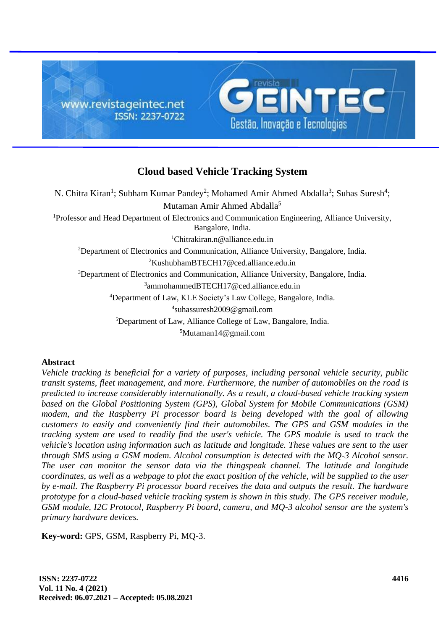

# **Cloud based Vehicle Tracking System**

N. Chitra Kiran<sup>1</sup>; Subham Kumar Pandey<sup>2</sup>; Mohamed Amir Ahmed Abdalla<sup>3</sup>; Suhas Suresh<sup>4</sup>; Mutaman Amir Ahmed Abdalla 5 Professor and Head Department of Electronics and Communication Engineering, Alliance University, Bangalore, India. <sup>1</sup>Chitrakiran.n@alliance.edu.in Department of Electronics and Communication, Alliance University, Bangalore, India. KushubhamBTECH17@ced.alliance.edu.in Department of Electronics and Communication, Alliance University, Bangalore, India. ammohammedBTECH17@ced.alliance.edu.in Department of Law, KLE Society's Law College, Bangalore, India. suhassuresh2009@gmail.com Department of Law, Alliance College of Law, Bangalore, India. Mutaman14@gmail.com

### **Abstract**

*Vehicle tracking is beneficial for a variety of purposes, including personal vehicle security, public transit systems, fleet management, and more. Furthermore, the number of automobiles on the road is predicted to increase considerably internationally. As a result, a cloud-based vehicle tracking system based on the Global Positioning System (GPS), Global System for Mobile Communications (GSM) modem, and the Raspberry Pi processor board is being developed with the goal of allowing customers to easily and conveniently find their automobiles. The GPS and GSM modules in the tracking system are used to readily find the user's vehicle. The GPS module is used to track the vehicle's location using information such as latitude and longitude. These values are sent to the user through SMS using a GSM modem. Alcohol consumption is detected with the MQ-3 Alcohol sensor. The user can monitor the sensor data via the thingspeak channel. The latitude and longitude coordinates, as well as a webpage to plot the exact position of the vehicle, will be supplied to the user by e-mail. The Raspberry Pi processor board receives the data and outputs the result. The hardware prototype for a cloud-based vehicle tracking system is shown in this study. The GPS receiver module, GSM module, I2C Protocol, Raspberry Pi board, camera, and MQ-3 alcohol sensor are the system's primary hardware devices.*

**Key***-***word:** GPS, GSM, Raspberry Pi, MQ-3.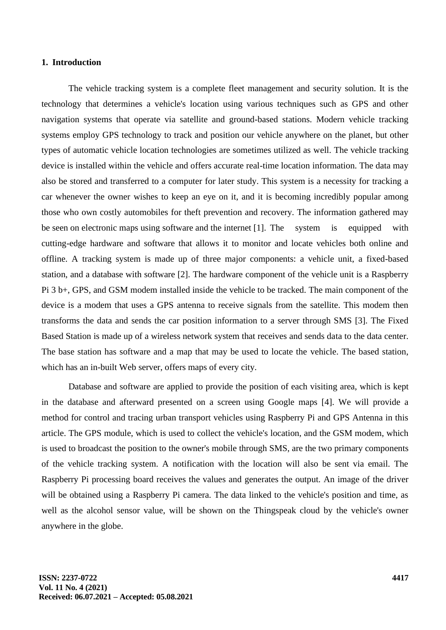#### **1. Introduction**

The vehicle tracking system is a complete fleet management and security solution. It is the technology that determines a vehicle's location using various techniques such as GPS and other navigation systems that operate via satellite and ground-based stations. Modern vehicle tracking systems employ GPS technology to track and position our vehicle anywhere on the planet, but other types of automatic vehicle location technologies are sometimes utilized as well. The vehicle tracking device is installed within the vehicle and offers accurate real-time location information. The data may also be stored and transferred to a computer for later study. This system is a necessity for tracking a car whenever the owner wishes to keep an eye on it, and it is becoming incredibly popular among those who own costly automobiles for theft prevention and recovery. The information gathered may be seen on electronic maps using software and the internet [1]. The system is equipped with cutting-edge hardware and software that allows it to monitor and locate vehicles both online and offline. A tracking system is made up of three major components: a vehicle unit, a fixed-based station, and a database with software [2]. The hardware component of the vehicle unit is a Raspberry Pi 3 b+, GPS, and GSM modem installed inside the vehicle to be tracked. The main component of the device is a modem that uses a GPS antenna to receive signals from the satellite. This modem then transforms the data and sends the car position information to a server through SMS [3]. The Fixed Based Station is made up of a wireless network system that receives and sends data to the data center. The base station has software and a map that may be used to locate the vehicle. The based station, which has an in-built Web server, offers maps of every city.

Database and software are applied to provide the position of each visiting area, which is kept in the database and afterward presented on a screen using Google maps [4]. We will provide a method for control and tracing urban transport vehicles using Raspberry Pi and GPS Antenna in this article. The GPS module, which is used to collect the vehicle's location, and the GSM modem, which is used to broadcast the position to the owner's mobile through SMS, are the two primary components of the vehicle tracking system. A notification with the location will also be sent via email. The Raspberry Pi processing board receives the values and generates the output. An image of the driver will be obtained using a Raspberry Pi camera. The data linked to the vehicle's position and time, as well as the alcohol sensor value, will be shown on the Thingspeak cloud by the vehicle's owner anywhere in the globe.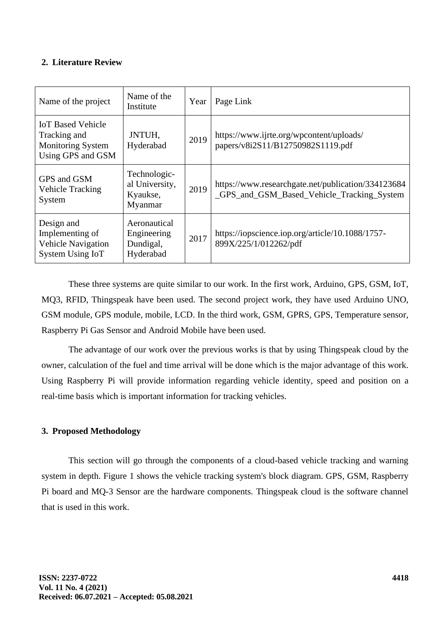### **2. Literature Review**

| Name of the project                                                                       | Name of the<br>Institute                              | Year | Page Link                                                                                        |
|-------------------------------------------------------------------------------------------|-------------------------------------------------------|------|--------------------------------------------------------------------------------------------------|
| <b>IoT Based Vehicle</b><br>Tracking and<br><b>Monitoring System</b><br>Using GPS and GSM | JNTUH,<br>Hyderabad                                   | 2019 | https://www.ijrte.org/wpcontent/uploads/<br>papers/v8i2S11/B12750982S1119.pdf                    |
| GPS and GSM<br><b>Vehicle Tracking</b><br>System                                          | Technologic-<br>al University,<br>Kyaukse,<br>Myanmar | 2019 | https://www.researchgate.net/publication/334123684<br>_GPS_and_GSM_Based_Vehicle_Tracking_System |
| Design and<br>Implementing of<br><b>Vehicle Navigation</b><br>System Using IoT            | Aeronautical<br>Engineering<br>Dundigal,<br>Hyderabad | 2017 | https://iopscience.iop.org/article/10.1088/1757-<br>899X/225/1/012262/pdf                        |

These three systems are quite similar to our work. In the first work, Arduino, GPS, GSM, IoT, MQ3, RFID, Thingspeak have been used. The second project work, they have used Arduino UNO, GSM module, GPS module, mobile, LCD. In the third work, GSM, GPRS, GPS, Temperature sensor, Raspberry Pi Gas Sensor and Android Mobile have been used.

The advantage of our work over the previous works is that by using Thingspeak cloud by the owner, calculation of the fuel and time arrival will be done which is the major advantage of this work. Using Raspberry Pi will provide information regarding vehicle identity, speed and position on a real-time basis which is important information for tracking vehicles.

## **3. Proposed Methodology**

This section will go through the components of a cloud-based vehicle tracking and warning system in depth. Figure 1 shows the vehicle tracking system's block diagram. GPS, GSM, Raspberry Pi board and MQ-3 Sensor are the hardware components. Thingspeak cloud is the software channel that is used in this work.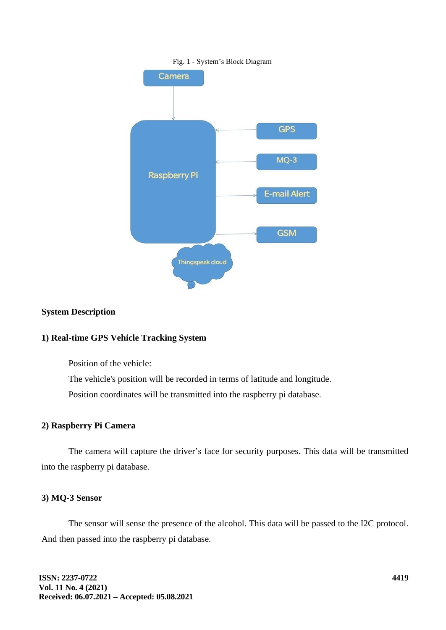

#### **System Description**

#### **1) Real-time GPS Vehicle Tracking System**

Position of the vehicle:

The vehicle's position will be recorded in terms of latitude and longitude.

Position coordinates will be transmitted into the raspberry pi database.

### **2) Raspberry Pi Camera**

The camera will capture the driver's face for security purposes. This data will be transmitted into the raspberry pi database.

### **3) MQ-3 Sensor**

The sensor will sense the presence of the alcohol. This data will be passed to the I2C protocol. And then passed into the raspberry pi database.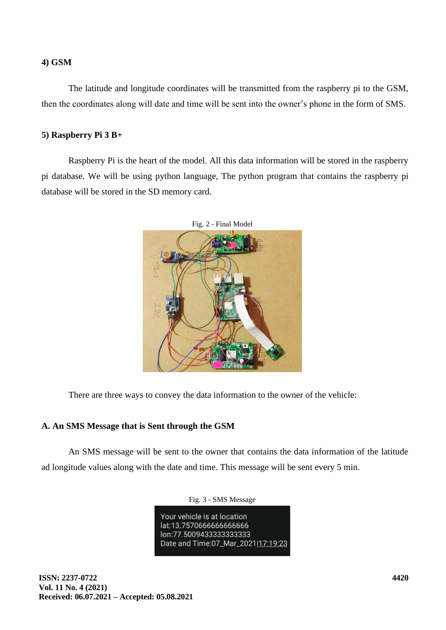#### **4) GSM**

The latitude and longitude coordinates will be transmitted from the raspberry pi to the GSM, then the coordinates along will date and time will be sent into the owner's phone in the form of SMS.

### **5) Raspberry Pi 3 B+**

Raspberry Pi is the heart of the model. All this data information will be stored in the raspberry pi database. We will be using python language, The python program that contains the raspberry pi database will be stored in the SD memory card.



Fig. 2 - Final Model

There are three ways to convey the data information to the owner of the vehicle:

### **A. An SMS Message that is Sent through the GSM**

An SMS message will be sent to the owner that contains the data information of the latitude ad longitude values along with the date and time. This message will be sent every 5 min.

Fig. 3 - SMS Message

Your vehicle is at location lat:13.7570666666666666 lon:77.5009433333333333 Date and Time:07\_Mar\_2021|17:19:23

**ISSN: 2237-0722 Vol. 11 No. 4 (2021) Received: 06.07.2021 – Accepted: 05.08.2021**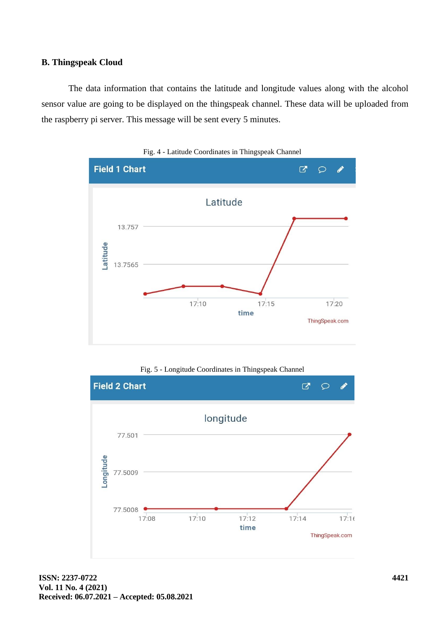### **B. Thingspeak Cloud**

The data information that contains the latitude and longitude values along with the alcohol sensor value are going to be displayed on the thingspeak channel. These data will be uploaded from the raspberry pi server. This message will be sent every 5 minutes.







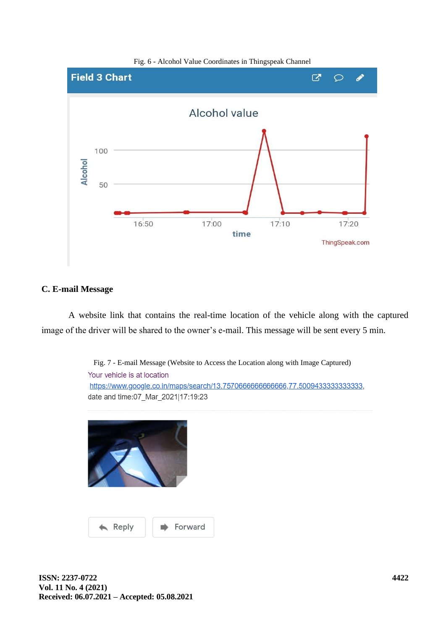

Fig. 6 - Alcohol Value Coordinates in Thingspeak Channel

#### **C. E-mail Message**

A website link that contains the real-time location of the vehicle along with the captured image of the driver will be shared to the owner's e-mail. This message will be sent every 5 min.

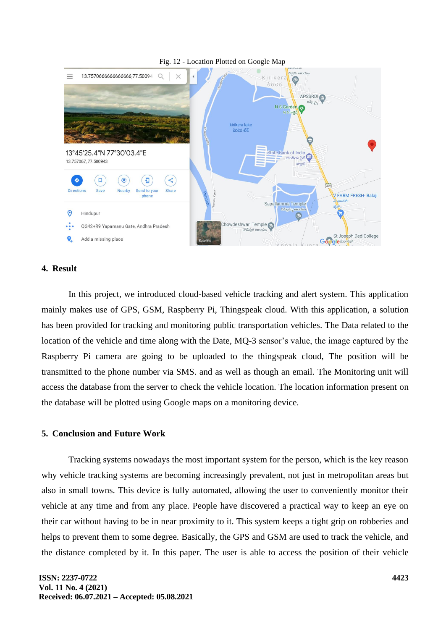

#### Fig. 12 - Location Plotted on Google Map

### **4. Result**

In this project, we introduced cloud-based vehicle tracking and alert system. This application mainly makes use of GPS, GSM, Raspberry Pi, Thingspeak cloud. With this application, a solution has been provided for tracking and monitoring public transportation vehicles. The Data related to the location of the vehicle and time along with the Date, MQ-3 sensor's value, the image captured by the Raspberry Pi camera are going to be uploaded to the thingspeak cloud, The position will be transmitted to the phone number via SMS. and as well as though an email. The Monitoring unit will access the database from the server to check the vehicle location. The location information present on the database will be plotted using Google maps on a monitoring device.

#### **5. Conclusion and Future Work**

Tracking systems nowadays the most important system for the person, which is the key reason why vehicle tracking systems are becoming increasingly prevalent, not just in metropolitan areas but also in small towns. This device is fully automated, allowing the user to conveniently monitor their vehicle at any time and from any place. People have discovered a practical way to keep an eye on their car without having to be in near proximity to it. This system keeps a tight grip on robberies and helps to prevent them to some degree. Basically, the GPS and GSM are used to track the vehicle, and the distance completed by it. In this paper. The user is able to access the position of their vehicle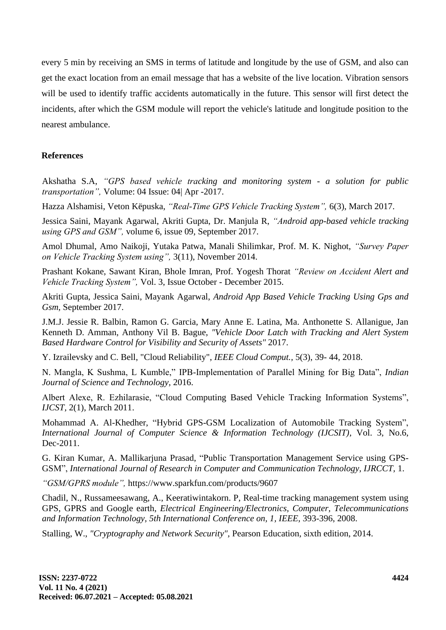every 5 min by receiving an SMS in terms of latitude and longitude by the use of GSM, and also can get the exact location from an email message that has a website of the live location. Vibration sensors will be used to identify traffic accidents automatically in the future. This sensor will first detect the incidents, after which the GSM module will report the vehicle's latitude and longitude position to the nearest ambulance.

### **References**

Akshatha S.A, *"GPS based vehicle tracking and monitoring system - a solution for public transportation",* Volume: 04 Issue: 04| Apr -2017.

Hazza Alshamisi, Veton Këpuska, *"Real-Time GPS Vehicle Tracking System",* 6(3), March 2017.

Jessica Saini, Mayank Agarwal, Akriti Gupta, Dr. Manjula R, *"Android app-based vehicle tracking using GPS and GSM",* volume 6, issue 09, September 2017.

Amol Dhumal, Amo Naikoji, Yutaka Patwa, Manali Shilimkar, Prof. M. K. Nighot, *"Survey Paper on Vehicle Tracking System using",* 3(11), November 2014.

Prashant Kokane, Sawant Kiran, Bhole Imran, Prof. Yogesh Thorat *"Review on Accident Alert and Vehicle Tracking System",* Vol. 3, Issue October - December 2015.

Akriti Gupta, Jessica Saini, Mayank Agarwal, *Android App Based Vehicle Tracking Using Gps and Gsm,* September 2017.

J.M.J. Jessie R. Balbin, Ramon G. Garcia, Mary Anne E. Latina, Ma. Anthonette S. Allanigue, Jan Kenneth D. Amman, Anthony Vil B. Bague, *"Vehicle Door Latch with Tracking and Alert System Based Hardware Control for Visibility and Security of Assets"* 2017.

Y. Izrailevsky and C. Bell, "Cloud Reliability", *IEEE Cloud Comput.,* 5(3), 39- 44, 2018.

N. Mangla, K Sushma, L Kumble," IPB-Implementation of Parallel Mining for Big Data", *Indian Journal of Science and Technology,* 2016.

Albert Alexe, R. Ezhilarasie, "Cloud Computing Based Vehicle Tracking Information Systems", *IJCST,* 2(1), March 2011.

Mohammad A. Al-Khedher, "Hybrid GPS-GSM Localization of Automobile Tracking System", *International Journal of Computer Science & Information Technology (IJCSIT),* Vol. 3, No.6, Dec-2011.

G. Kiran Kumar, A. Mallikarjuna Prasad, "Public Transportation Management Service using GPS-GSM", *International Journal of Research in Computer and Communication Technology, IJRCCT,* 1.

*"GSM/GPRS module",* https://www.sparkfun.com/products/9607

Chadil, N., Russameesawang, A., Keeratiwintakorn. P, Real-time tracking management system using GPS, GPRS and Google earth, *Electrical Engineering/Electronics, Computer, Telecommunications and Information Technology, 5th International Conference on, 1, IEEE,* 393-396, 2008.

Stalling, W., *"Cryptography and Network Security",* Pearson Education, sixth edition, 2014.